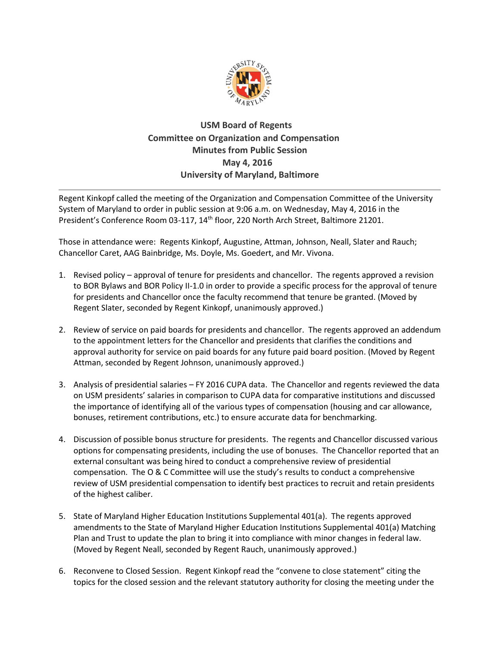

## **USM Board of Regents Committee on Organization and Compensation Minutes from Public Session May 4, 2016 University of Maryland, Baltimore**

Regent Kinkopf called the meeting of the Organization and Compensation Committee of the University System of Maryland to order in public session at 9:06 a.m. on Wednesday, May 4, 2016 in the President's Conference Room 03-117, 14<sup>th</sup> floor, 220 North Arch Street, Baltimore 21201.

Those in attendance were: Regents Kinkopf, Augustine, Attman, Johnson, Neall, Slater and Rauch; Chancellor Caret, AAG Bainbridge, Ms. Doyle, Ms. Goedert, and Mr. Vivona.

- 1. Revised policy approval of tenure for presidents and chancellor. The regents approved a revision to BOR Bylaws and BOR Policy II-1.0 in order to provide a specific process for the approval of tenure for presidents and Chancellor once the faculty recommend that tenure be granted. (Moved by Regent Slater, seconded by Regent Kinkopf, unanimously approved.)
- 2. Review of service on paid boards for presidents and chancellor. The regents approved an addendum to the appointment letters for the Chancellor and presidents that clarifies the conditions and approval authority for service on paid boards for any future paid board position. (Moved by Regent Attman, seconded by Regent Johnson, unanimously approved.)
- 3. Analysis of presidential salaries FY 2016 CUPA data. The Chancellor and regents reviewed the data on USM presidents' salaries in comparison to CUPA data for comparative institutions and discussed the importance of identifying all of the various types of compensation (housing and car allowance, bonuses, retirement contributions, etc.) to ensure accurate data for benchmarking.
- 4. Discussion of possible bonus structure for presidents. The regents and Chancellor discussed various options for compensating presidents, including the use of bonuses. The Chancellor reported that an external consultant was being hired to conduct a comprehensive review of presidential compensation. The O & C Committee will use the study's results to conduct a comprehensive review of USM presidential compensation to identify best practices to recruit and retain presidents of the highest caliber.
- 5. State of Maryland Higher Education Institutions Supplemental 401(a). The regents approved amendments to the State of Maryland Higher Education Institutions Supplemental 401(a) Matching Plan and Trust to update the plan to bring it into compliance with minor changes in federal law. (Moved by Regent Neall, seconded by Regent Rauch, unanimously approved.)
- 6. [Reconvene to Closed Session. R](http://www.usmd.edu/BORPortal/Materials/2016/OC/20160119/PS_ReconveneClose.pdf)egent Kinkopf read the "convene to close statement" citing the topics for the closed session and the relevant statutory authority for closing the meeting under the